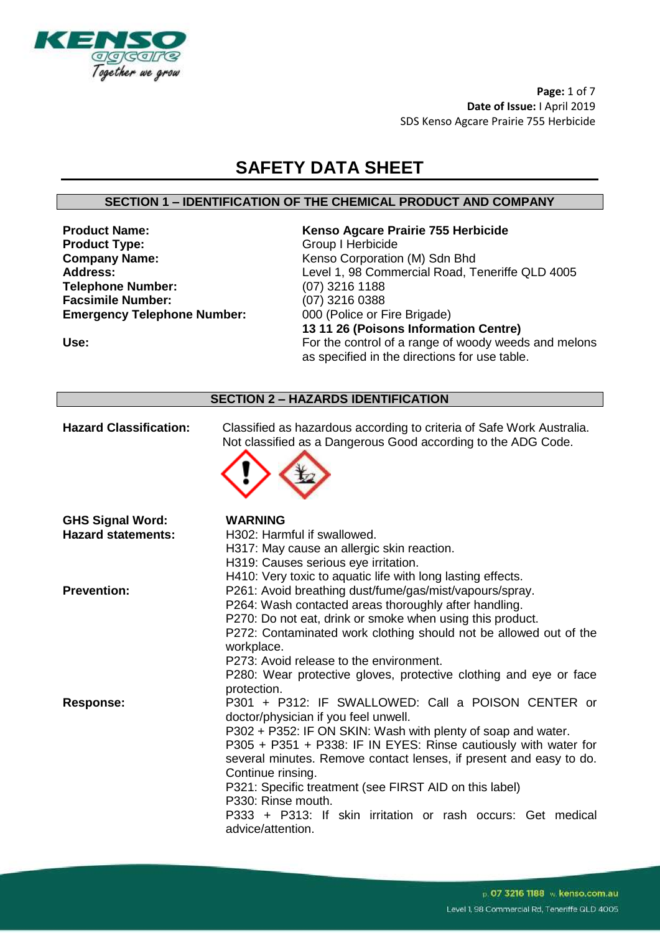

**Page:** 1 of 7 **Date of Issue:** I April 2019 SDS Kenso Agcare Prairie 755 Herbicide

## **SAFETY DATA SHEET**

#### **SECTION 1 – IDENTIFICATION OF THE CHEMICAL PRODUCT AND COMPANY**

**Product Type:** Group I Herbicide **Company Name:** Kenso Corporation (M) Sdn Bhd<br> **Address:** Level 1, 98 Commercial Road, To **Telephone Number:** (07) 3216 1188 **Facsimile Number:** (07) 3216 0388 **Emergency Telephone Number:** 000 (Police or Fire Brigade)

# **Product Name: Kenso Agcare Prairie 755 Herbicide** Level 1, 98 Commercial Road, Teneriffe QLD 4005 **13 11 26 (Poisons Information Centre)** Use: Use: Example 2012 The control of a range of woody weeds and melons

as specified in the directions for use table.

#### **SECTION 2 – HAZARDS IDENTIFICATION**

| <b>Hazard Classification:</b> | Classified as hazardous according to criteria of Safe Work Australia.<br>Not classified as a Dangerous Good according to the ADG Code. |
|-------------------------------|----------------------------------------------------------------------------------------------------------------------------------------|
| <b>GHS Signal Word:</b>       | <b>WARNING</b>                                                                                                                         |
| <b>Hazard statements:</b>     | H302: Harmful if swallowed.                                                                                                            |
|                               | H317: May cause an allergic skin reaction.                                                                                             |
|                               | H319: Causes serious eye irritation.                                                                                                   |
|                               | H410: Very toxic to aquatic life with long lasting effects.                                                                            |
| <b>Prevention:</b>            | P261: Avoid breathing dust/fume/gas/mist/vapours/spray.                                                                                |
|                               | P264: Wash contacted areas thoroughly after handling.                                                                                  |
|                               | P270: Do not eat, drink or smoke when using this product.                                                                              |
|                               | P272: Contaminated work clothing should not be allowed out of the                                                                      |
|                               | workplace.                                                                                                                             |
|                               | P273: Avoid release to the environment.                                                                                                |
|                               | P280: Wear protective gloves, protective clothing and eye or face<br>protection.                                                       |
| <b>Response:</b>              | P301 + P312: IF SWALLOWED: Call a POISON CENTER or                                                                                     |
|                               | doctor/physician if you feel unwell.                                                                                                   |
|                               | P302 + P352: IF ON SKIN: Wash with plenty of soap and water.                                                                           |
|                               | P305 + P351 + P338: IF IN EYES: Rinse cautiously with water for                                                                        |
|                               | several minutes. Remove contact lenses, if present and easy to do.                                                                     |
|                               | Continue rinsing.                                                                                                                      |
|                               | P321: Specific treatment (see FIRST AID on this label)                                                                                 |
|                               | P330: Rinse mouth.                                                                                                                     |
|                               | P333 + P313: If skin irritation or rash occurs: Get medical                                                                            |
|                               | advice/attention.                                                                                                                      |
|                               |                                                                                                                                        |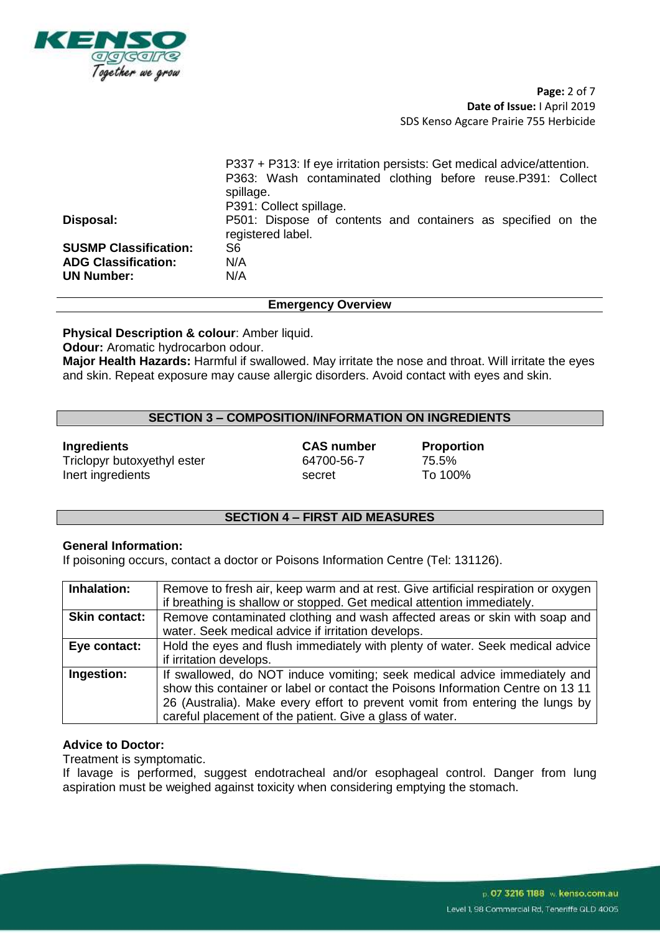

**Page:** 2 of 7 **Date of Issue:** I April 2019 SDS Kenso Agcare Prairie 755 Herbicide

|                              | P337 + P313: If eye irritation persists: Get medical advice/attention.            |  |  |
|------------------------------|-----------------------------------------------------------------------------------|--|--|
|                              | P363: Wash contaminated clothing before reuse. P391: Collect<br>spillage.         |  |  |
|                              | P391: Collect spillage.                                                           |  |  |
| Disposal:                    | P501: Dispose of contents and containers as specified on the<br>registered label. |  |  |
| <b>SUSMP Classification:</b> | S6                                                                                |  |  |
| <b>ADG Classification:</b>   | N/A                                                                               |  |  |
| <b>UN Number:</b>            | N/A                                                                               |  |  |
|                              |                                                                                   |  |  |

#### **Emergency Overview**

**Physical Description & colour**: Amber liquid.

**Odour:** Aromatic hydrocarbon odour.

**Major Health Hazards:** Harmful if swallowed. May irritate the nose and throat. Will irritate the eyes and skin. Repeat exposure may cause allergic disorders. Avoid contact with eyes and skin.

#### **SECTION 3 – COMPOSITION/INFORMATION ON INGREDIENTS**

#### **Ingredients CAS number Proportion**

Triclopyr butoxyethyl ester 64700-56-7 75.5% Inert ingredients and the secret To 100%

#### **SECTION 4 – FIRST AID MEASURES**

#### **General Information:**

If poisoning occurs, contact a doctor or Poisons Information Centre (Tel: 131126).

| Inhalation:          | Remove to fresh air, keep warm and at rest. Give artificial respiration or oxygen<br>if breathing is shallow or stopped. Get medical attention immediately.                                                                                                                                               |
|----------------------|-----------------------------------------------------------------------------------------------------------------------------------------------------------------------------------------------------------------------------------------------------------------------------------------------------------|
| <b>Skin contact:</b> | Remove contaminated clothing and wash affected areas or skin with soap and<br>water. Seek medical advice if irritation develops.                                                                                                                                                                          |
| Eye contact:         | Hold the eyes and flush immediately with plenty of water. Seek medical advice<br>if irritation develops.                                                                                                                                                                                                  |
| Ingestion:           | If swallowed, do NOT induce vomiting; seek medical advice immediately and<br>show this container or label or contact the Poisons Information Centre on 13 11<br>26 (Australia). Make every effort to prevent vomit from entering the lungs by<br>careful placement of the patient. Give a glass of water. |

#### **Advice to Doctor:**

Treatment is symptomatic.

If lavage is performed, suggest endotracheal and/or esophageal control. Danger from lung aspiration must be weighed against toxicity when considering emptying the stomach.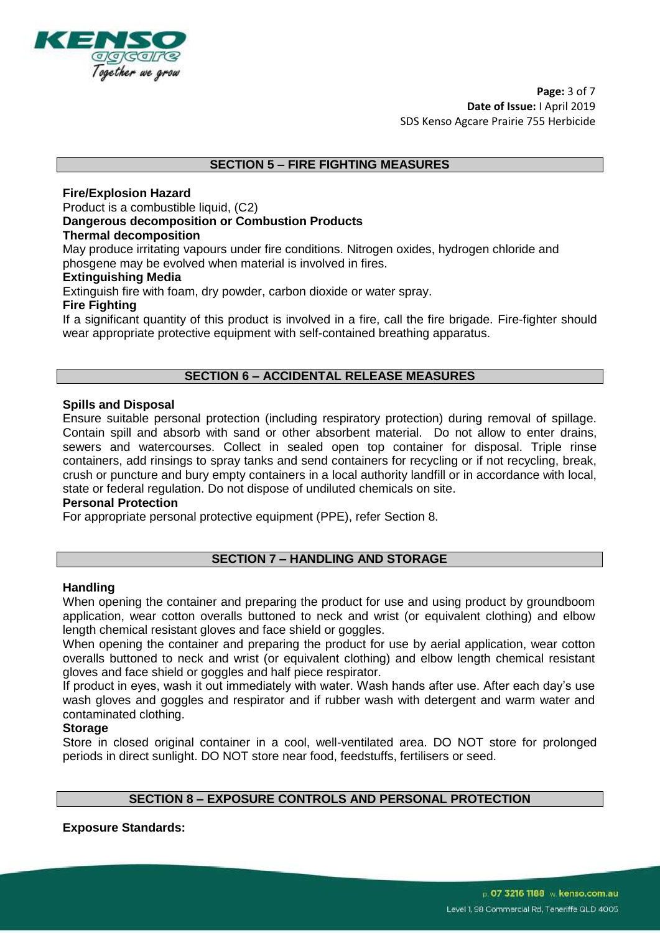

#### **SECTION 5 – FIRE FIGHTING MEASURES**

#### **Fire/Explosion Hazard**

Product is a combustible liquid, (C2)

#### **Dangerous decomposition or Combustion Products**

#### **Thermal decomposition**

May produce irritating vapours under fire conditions. Nitrogen oxides, hydrogen chloride and phosgene may be evolved when material is involved in fires.

#### **Extinguishing Media**

Extinguish fire with foam, dry powder, carbon dioxide or water spray.

#### **Fire Fighting**

If a significant quantity of this product is involved in a fire, call the fire brigade. Fire-fighter should wear appropriate protective equipment with self-contained breathing apparatus.

#### **SECTION 6 – ACCIDENTAL RELEASE MEASURES**

#### **Spills and Disposal**

Ensure suitable personal protection (including respiratory protection) during removal of spillage. Contain spill and absorb with sand or other absorbent material. Do not allow to enter drains, sewers and watercourses. Collect in sealed open top container for disposal. Triple rinse containers, add rinsings to spray tanks and send containers for recycling or if not recycling, break, crush or puncture and bury empty containers in a local authority landfill or in accordance with local, state or federal regulation. Do not dispose of undiluted chemicals on site.

#### **Personal Protection**

For appropriate personal protective equipment (PPE), refer Section 8.

#### **SECTION 7 – HANDLING AND STORAGE**

#### **Handling**

When opening the container and preparing the product for use and using product by groundboom application, wear cotton overalls buttoned to neck and wrist (or equivalent clothing) and elbow length chemical resistant gloves and face shield or goggles.

When opening the container and preparing the product for use by aerial application, wear cotton overalls buttoned to neck and wrist (or equivalent clothing) and elbow length chemical resistant gloves and face shield or goggles and half piece respirator.

If product in eyes, wash it out immediately with water. Wash hands after use. After each day's use wash gloves and goggles and respirator and if rubber wash with detergent and warm water and contaminated clothing.

#### **Storage**

Store in closed original container in a cool, well-ventilated area. DO NOT store for prolonged periods in direct sunlight. DO NOT store near food, feedstuffs, fertilisers or seed.

#### **SECTION 8 – EXPOSURE CONTROLS AND PERSONAL PROTECTION**

**Exposure Standards:**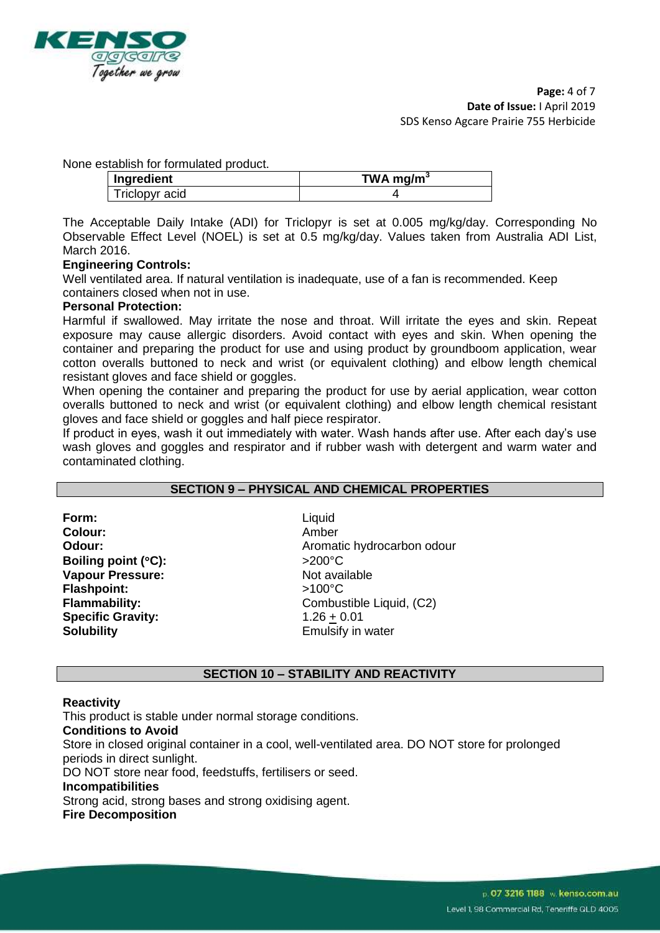

None establish for formulated product.

| Ingredient     | TWA mg/m <sup>3</sup> |
|----------------|-----------------------|
| Triclopyr acid |                       |

The Acceptable Daily Intake (ADI) for Triclopyr is set at 0.005 mg/kg/day. Corresponding No Observable Effect Level (NOEL) is set at 0.5 mg/kg/day. Values taken from Australia ADI List, March 2016.

#### **Engineering Controls:**

Well ventilated area. If natural ventilation is inadequate, use of a fan is recommended. Keep containers closed when not in use.

#### **Personal Protection:**

Harmful if swallowed. May irritate the nose and throat. Will irritate the eyes and skin. Repeat exposure may cause allergic disorders. Avoid contact with eyes and skin. When opening the container and preparing the product for use and using product by groundboom application, wear cotton overalls buttoned to neck and wrist (or equivalent clothing) and elbow length chemical resistant gloves and face shield or goggles.

When opening the container and preparing the product for use by aerial application, wear cotton overalls buttoned to neck and wrist (or equivalent clothing) and elbow length chemical resistant gloves and face shield or goggles and half piece respirator.

If product in eyes, wash it out immediately with water. Wash hands after use. After each day's use wash gloves and goggles and respirator and if rubber wash with detergent and warm water and contaminated clothing.

#### **SECTION 9 – PHYSICAL AND CHEMICAL PROPERTIES**

**Form:** Liquid **Colour:** Amber **Boiling point (°C):**  $>200$ °C **Vapour Pressure:** Not available **Flashpoint:** >100°C **Specific Gravity:** 1.26 + 0.01 **Solubility Emulsify in water** 

**Odour:** Aromatic hydrocarbon odour **Flammability:** Combustible Liquid, (C2)

#### **SECTION 10 – STABILITY AND REACTIVITY**

#### **Reactivity**

This product is stable under normal storage conditions.

#### **Conditions to Avoid**

Store in closed original container in a cool, well-ventilated area. DO NOT store for prolonged periods in direct sunlight.

DO NOT store near food, feedstuffs, fertilisers or seed.

#### **Incompatibilities**

Strong acid, strong bases and strong oxidising agent.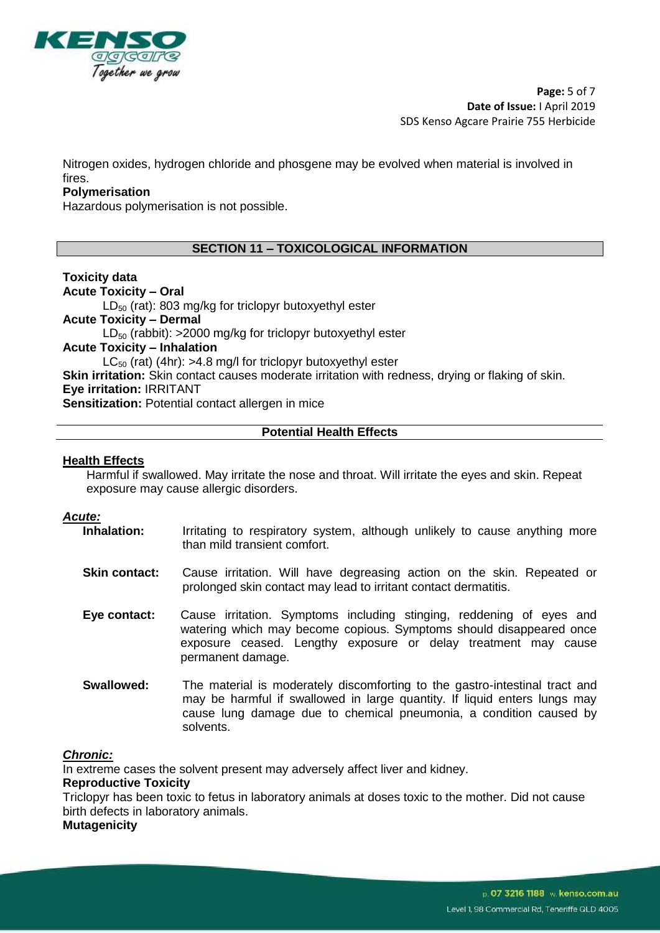

**Page:** 5 of 7 **Date of Issue:** I April 2019 SDS Kenso Agcare Prairie 755 Herbicide

Nitrogen oxides, hydrogen chloride and phosgene may be evolved when material is involved in fires.

#### **Polymerisation**

Hazardous polymerisation is not possible.

#### **SECTION 11 – TOXICOLOGICAL INFORMATION**

#### **Toxicity data**

**Acute Toxicity – Oral**   $LD_{50}$  (rat): 803 mg/kg for triclopyr butoxyethyl ester **Acute Toxicity – Dermal**   $LD_{50}$  (rabbit): >2000 mg/kg for triclopyr butoxyethyl ester **Acute Toxicity – Inhalation**  $LC_{50}$  (rat) (4hr): >4.8 mg/l for triclopyr butoxyethyl ester **Skin irritation:** Skin contact causes moderate irritation with redness, drying or flaking of skin. **Eye irritation:** IRRITANT

**Sensitization: Potential contact allergen in mice** 

#### **Potential Health Effects**

#### **Health Effects**

Harmful if swallowed. May irritate the nose and throat. Will irritate the eyes and skin. Repeat exposure may cause allergic disorders.

- *Acute:* Irritating to respiratory system, although unlikely to cause anything more than mild transient comfort.
	- **Skin contact:** Cause irritation. Will have degreasing action on the skin. Repeated or prolonged skin contact may lead to irritant contact dermatitis.
	- **Eye contact:** Cause irritation. Symptoms including stinging, reddening of eyes and watering which may become copious. Symptoms should disappeared once exposure ceased. Lengthy exposure or delay treatment may cause permanent damage.
	- **Swallowed:** The material is moderately discomforting to the gastro-intestinal tract and may be harmful if swallowed in large quantity. If liquid enters lungs may cause lung damage due to chemical pneumonia, a condition caused by solvents.

#### *Chronic:*

In extreme cases the solvent present may adversely affect liver and kidney.

#### **Reproductive Toxicity**

Triclopyr has been toxic to fetus in laboratory animals at doses toxic to the mother. Did not cause birth defects in laboratory animals.

**Mutagenicity**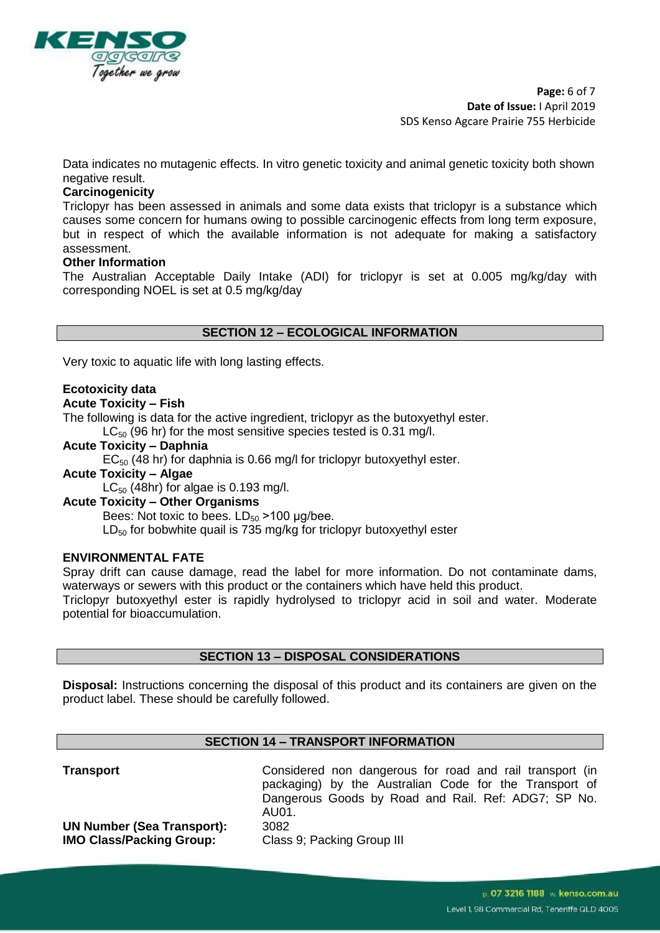

**Page:** 6 of 7 **Date of Issue:** I April 2019 SDS Kenso Agcare Prairie 755 Herbicide

Data indicates no mutagenic effects. In vitro genetic toxicity and animal genetic toxicity both shown negative result.

#### **Carcinogenicity**

Triclopyr has been assessed in animals and some data exists that triclopyr is a substance which causes some concern for humans owing to possible carcinogenic effects from long term exposure, but in respect of which the available information is not adequate for making a satisfactory assessment.

#### **Other Information**

The Australian Acceptable Daily Intake (ADI) for triclopyr is set at 0.005 mg/kg/day with corresponding NOEL is set at 0.5 mg/kg/day

#### **SECTION 12 – ECOLOGICAL INFORMATION**

Very toxic to aquatic life with long lasting effects.

#### **Ecotoxicity data**

#### **Acute Toxicity – Fish**

The following is data for the active ingredient, triclopyr as the butoxyethyl ester.

 $LC_{50}$  (96 hr) for the most sensitive species tested is 0.31 mg/l.

**Acute Toxicity – Daphnia**  $EC_{50}$  (48 hr) for daphnia is 0.66 mg/l for triclopyr butoxyethyl ester. **Acute Toxicity – Algae**  $LC_{50}$  (48hr) for algae is 0.193 mg/l.

### **Acute Toxicity – Other Organisms**

Bees: Not toxic to bees.  $LD_{50} > 100$  µg/bee.  $LD_{50}$  for bobwhite quail is 735 mg/kg for triclopyr butoxyethyl ester

#### **ENVIRONMENTAL FATE**

Spray drift can cause damage, read the label for more information. Do not contaminate dams, waterways or sewers with this product or the containers which have held this product.

Triclopyr butoxyethyl ester is rapidly hydrolysed to triclopyr acid in soil and water. Moderate potential for bioaccumulation.

#### **SECTION 13 – DISPOSAL CONSIDERATIONS**

**Disposal:** Instructions concerning the disposal of this product and its containers are given on the product label. These should be carefully followed.

#### **SECTION 14 – TRANSPORT INFORMATION**

| Transport |
|-----------|
|-----------|

Considered non dangerous for road and rail transport (in packaging) by the Australian Code for the Transport of Dangerous Goods by Road and Rail. Ref: ADG7; SP No. AU01.

**UN Number (Sea Transport):** 3082 **IMO Class/Packing Group:** Class 9; Packing Group III